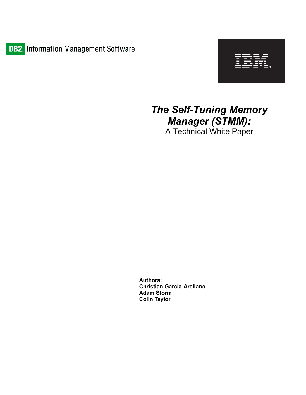



# The Self-Tuning Memory Manager (STMM):

A Technical White Paper

Authors: Christian Garcia-Arellano Adam Storm Colin Taylor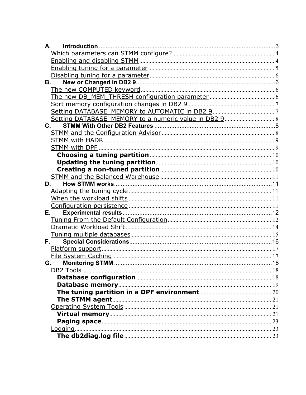| Introduction<br>А. |  |
|--------------------|--|
|                    |  |
|                    |  |
|                    |  |
|                    |  |
| В.                 |  |
|                    |  |
|                    |  |
|                    |  |
|                    |  |
|                    |  |
| $\mathbf{C}$ .     |  |
|                    |  |
|                    |  |
|                    |  |
|                    |  |
|                    |  |
|                    |  |
|                    |  |
| D.                 |  |
|                    |  |
|                    |  |
| Е.                 |  |
|                    |  |
|                    |  |
|                    |  |
| F.                 |  |
|                    |  |
|                    |  |
| G.                 |  |
|                    |  |
|                    |  |
|                    |  |
|                    |  |
|                    |  |
|                    |  |
|                    |  |
|                    |  |
| Logging.           |  |
|                    |  |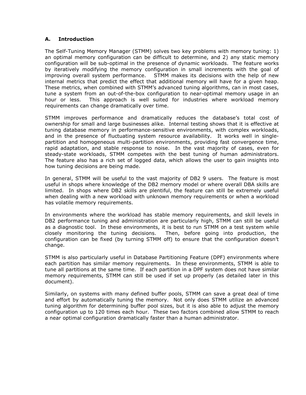### A. Introduction

The Self-Tuning Memory Manager (STMM) solves two key problems with memory tuning: 1) an optimal memory configuration can be difficult to determine, and 2) any static memory configuration will be sub-optimal in the presence of dynamic workloads. The feature works by iteratively modifying the memory configuration in small increments with the goal of improving overall system performance. STMM makes its decisions with the help of new internal metrics that predict the effect that additional memory will have for a given heap. These metrics, when combined with STMM's advanced tuning algorithms, can in most cases, tune a system from an out-of-the-box configuration to near-optimal memory usage in an hour or less. This approach is well suited for industries where workload memory requirements can change dramatically over time.

STMM improves performance and dramatically reduces the database's total cost of ownership for small and large businesses alike. Internal testing shows that it is effective at tuning database memory in performance-sensitive environments, with complex workloads, and in the presence of fluctuating system resource availability. It works well in singlepartition and homogeneous multi-partition environments, providing fast convergence time, rapid adaptation, and stable response to noise. In the vast majority of cases, even for steady-state workloads, STMM competes with the best tuning of human administrators. The feature also has a rich set of logged data, which allows the user to gain insights into how tuning decisions are being made.

In general, STMM will be useful to the vast majority of DB2 9 users. The feature is most useful in shops where knowledge of the DB2 memory model or where overall DBA skills are limited. In shops where DB2 skills are plentiful, the feature can still be extremely useful when dealing with a new workload with unknown memory requirements or when a workload has volatile memory requirements.

In environments where the workload has stable memory requirements, and skill levels in DB2 performance tuning and administration are particularly high, STMM can still be useful as a diagnostic tool. In these environments, it is best to run STMM on a test system while closely monitoring the tuning decisions. Then, before going into production, the configuration can be fixed (by turning STMM off) to ensure that the configuration doesn't change.

STMM is also particularly useful in Database Partitioning Feature (DPF) environments where each partition has similar memory requirements. In these environments, STMM is able to tune all partitions at the same time. If each partition in a DPF system does not have similar memory requirements, STMM can still be used if set up properly (as detailed later in this document).

Similarly, on systems with many defined buffer pools, STMM can save a great deal of time and effort by automatically tuning the memory. Not only does STMM utilize an advanced tuning algorithm for determining buffer pool sizes, but it is also able to adjust the memory configuration up to 120 times each hour. These two factors combined allow STMM to reach a near optimal configuration dramatically faster than a human administrator.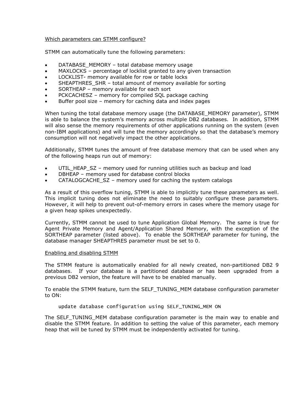### Which parameters can STMM configure?

STMM can automatically tune the following parameters:

- DATABASE\_MEMORY total database memory usage
- MAXLOCKS percentage of locklist granted to any given transaction
- LOCKLIST- memory available for row or table locks
- SHEAPTHRES SHR total amount of memory available for sorting
- SORTHEAP memory available for each sort
- PCKCACHESZ memory for compiled SQL package caching
- Buffer pool size memory for caching data and index pages

When tuning the total database memory usage (the DATABASE\_MEMORY parameter), STMM is able to balance the system's memory across multiple DB2 databases. In addition, STMM will also sense the memory requirements of other applications running on the system (even non-IBM applications) and will tune the memory accordingly so that the database's memory consumption will not negatively impact the other applications.

Additionally, STMM tunes the amount of free database memory that can be used when any of the following heaps run out of memory:

- UTIL HEAP SZ memory used for running utilities such as backup and load
- DBHEAP memory used for database control blocks
- CATALOGCACHE\_SZ memory used for caching the system catalogs

As a result of this overflow tuning, STMM is able to implicitly tune these parameters as well. This implicit tuning does not eliminate the need to suitably configure these parameters. However, it will help to prevent out-of-memory errors in cases where the memory usage for a given heap spikes unexpectedly.

Currently, STMM cannot be used to tune Application Global Memory. The same is true for Agent Private Memory and Agent/Application Shared Memory, with the exception of the SORTHEAP parameter (listed above). To enable the SORTHEAP parameter for tuning, the database manager SHEAPTHRES parameter must be set to 0.

### Enabling and disabling STMM

The STMM feature is automatically enabled for all newly created, non-partitioned DB2 9 databases. If your database is a partitioned database or has been upgraded from a previous DB2 version, the feature will have to be enabled manually.

To enable the STMM feature, turn the SELF\_TUNING\_MEM database configuration parameter to ON:

### update database configuration using SELF\_TUNING\_MEM ON

The SELF\_TUNING\_MEM database configuration parameter is the main way to enable and disable the STMM feature. In addition to setting the value of this parameter, each memory heap that will be tuned by STMM must be independently activated for tuning.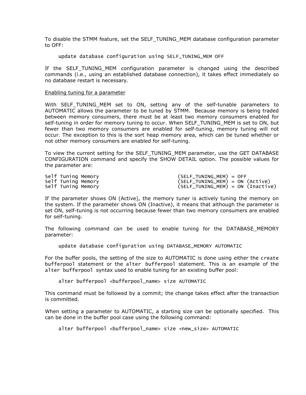To disable the STMM feature, set the SELF\_TUNING\_MEM database configuration parameter to OFF:

update database configuration using SELF\_TUNING\_MEM OFF

If the SELF\_TUNING\_MEM configuration parameter is changed using the described commands (i.e., using an established database connection), it takes effect immediately so no database restart is necessary.

#### Enabling tuning for a parameter

With SELF TUNING MEM set to ON, setting any of the self-tunable parameters to AUTOMATIC allows the parameter to be tuned by STMM. Because memory is being traded between memory consumers, there must be at least two memory consumers enabled for self-tuning in order for memory tuning to occur. When SELF\_TUNING\_MEM is set to ON, but fewer than two memory consumers are enabled for self-tuning, memory tuning will not occur. The exception to this is the sort heap memory area, which can be tuned whether or not other memory consumers are enabled for self-tuning.

To view the current setting for the SELF\_TUNING\_MEM parameter, use the GET DATABASE CONFIGURATION command and specify the SHOW DETAIL option. The possible values for the parameter are:

| Self Tuning Memory | (SELF_TUNING_MEM) = OFF           |
|--------------------|-----------------------------------|
| Self Tuning Memory | (SELF_TUNING_MEM) = ON (Active)   |
| Self Tuning Memory | (SELF_TUNING_MEM) = ON (Inactive) |

If the parameter shows ON (Active), the memory tuner is actively tuning the memory on the system. If the parameter shows ON (Inactive), it means that although the parameter is set ON, self-tuning is not occurring because fewer than two memory consumers are enabled for self-tuning.

The following command can be used to enable tuning for the DATABASE\_MEMORY parameter:

update database configuration using DATABASE\_MEMORY AUTOMATIC

For the buffer pools, the setting of the size to AUTOMATIC is done using either the create bufferpool statement or the alter bufferpool statement. This is an example of the alter bufferpool syntax used to enable tuning for an existing buffer pool:

alter bufferpool <bufferpool\_name> size AUTOMATIC

This command must be followed by a commit; the change takes effect after the transaction is committed.

When setting a parameter to AUTOMATIC, a starting size can be optionally specified. This can be done in the buffer pool case using the following command:

alter bufferpool <bufferpool\_name> size <new\_size> AUTOMATIC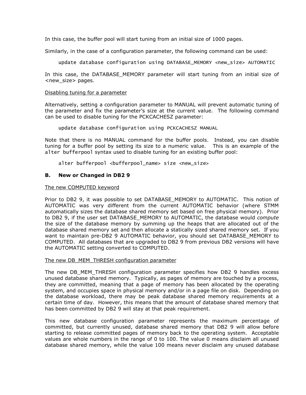In this case, the buffer pool will start tuning from an initial size of 1000 pages.

Similarly, in the case of a configuration parameter, the following command can be used:

update database configuration using DATABASE\_MEMORY <new\_size> AUTOMATIC

In this case, the DATABASE MEMORY parameter will start tuning from an initial size of <new\_size> pages.

### Disabling tuning for a parameter

Alternatively, setting a configuration parameter to MANUAL will prevent automatic tuning of the parameter and fix the parameter's size at the current value. The following command can be used to disable tuning for the PCKCACHESZ parameter:

update database configuration using PCKCACHESZ MANUAL

Note that there is no MANUAL command for the buffer pools. Instead, you can disable tuning for a buffer pool by setting its size to a numeric value. This is an example of the alter bufferpool syntax used to disable tuning for an existing buffer pool:

alter bufferpool <br/> <br/>bufferpool\_name> size <new\_size>

### B. New or Changed in DB2 9

### The new COMPUTED keyword

Prior to DB2 9, it was possible to set DATABASE\_MEMORY to AUTOMATIC. This notion of AUTOMATIC was very different from the current AUTOMATIC behavior (where STMM automatically sizes the database shared memory set based on free physical memory). Prior to DB2 9, if the user set DATABASE\_MEMORY to AUTOMATIC, the database would compute the size of the database memory by summing up the heaps that are allocated out of the database shared memory set and then allocate a statically sized shared memory set. If you want to maintain pre-DB2 9 AUTOMATIC behavior, you should set DATABASE\_MEMORY to COMPUTED. All databases that are upgraded to DB2 9 from previous DB2 versions will have the AUTOMATIC setting converted to COMPUTED.

### The new DB\_MEM\_THRESH configuration parameter

The new DB\_MEM\_THRESH configuration parameter specifies how DB2 9 handles excess unused database shared memory. Typically, as pages of memory are touched by a process, they are committed, meaning that a page of memory has been allocated by the operating system, and occupies space in physical memory and/or in a page file on disk. Depending on the database workload, there may be peak database shared memory requirements at a certain time of day. However, this means that the amount of database shared memory that has been committed by DB2 9 will stay at that peak requirement.

This new database configuration parameter represents the maximum percentage of committed, but currently unused, database shared memory that DB2 9 will allow before starting to release committed pages of memory back to the operating system. Acceptable values are whole numbers in the range of 0 to 100. The value 0 means disclaim all unused database shared memory, while the value 100 means never disclaim any unused database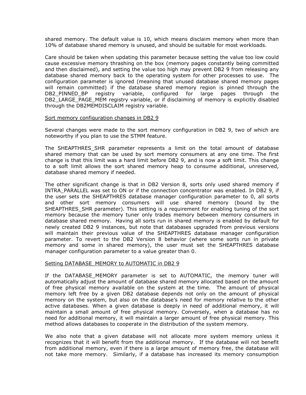shared memory. The default value is 10, which means disclaim memory when more than 10% of database shared memory is unused, and should be suitable for most workloads.

Care should be taken when updating this parameter because setting the value too low could cause excessive memory thrashing on the box (memory pages constantly being committed and then disclaimed), and setting the value too high may prevent DB2 9 from releasing any database shared memory back to the operating system for other processes to use. The configuration parameter is ignored (meaning that unused database shared memory pages will remain committed) if the database shared memory region is pinned through the DB2 PINNED BP registry variable, configured for large pages through the DB2 LARGE PAGE MEM registry variable, or if disclaiming of memory is explicitly disabled through the DB2MEMDISCLAIM registry variable.

### Sort memory configuration changes in DB2 9

Several changes were made to the sort memory configuration in DB2 9, two of which are noteworthy if you plan to use the STMM feature.

The SHEAPTHRES\_SHR parameter represents a limit on the total amount of database shared memory that can be used by sort memory consumers at any one time. The first change is that this limit was a hard limit before DB2 9, and is now a soft limit. This change to a soft limit allows the sort shared memory heap to consume additional, unreserved, database shared memory if needed.

The other significant change is that in DB2 Version 8, sorts only used shared memory if INTRA\_PARALLEL was set to ON or if the connection concentrator was enabled. In DB2 9, if the user sets the SHEAPTHRES database manager configuration parameter to 0, all sorts and other sort memory consumers will use shared memory (bound by the SHEAPTHRES SHR parameter). This setting is a requirement for enabling tuning of the sort memory because the memory tuner only trades memory between memory consumers in database shared memory. Having all sorts run in shared memory is enabled by default for newly created DB2 9 instances, but note that databases upgraded from previous versions will maintain their previous value of the SHEAPTHRES database manager configuration parameter. To revert to the DB2 Version 8 behavior (where some sorts run in private memory and some in shared memory), the user must set the SHEAPTHRES database manager configuration parameter to a value greater than 0.

### Setting DATABASE\_MEMORY to AUTOMATIC in DB2 9

If the DATABASE MEMORY parameter is set to AUTOMATIC, the memory tuner will automatically adjust the amount of database shared memory allocated based on the amount of free physical memory available on the system at the time. The amount of physical memory left free by a given DB2 database depends not only on the amount of physical memory on the system, but also on the database's need for memory relative to the other active databases. When a given database is deeply in need of additional memory, it will maintain a small amount of free physical memory. Conversely, when a database has no need for additional memory, it will maintain a larger amount of free physical memory. This method allows databases to cooperate in the distribution of the system memory.

We also note that a given database will not allocate more system memory unless it recognizes that it will benefit from the additional memory. If the database will not benefit from additional memory, even if there is a large amount of memory free, the database will not take more memory. Similarly, if a database has increased its memory consumption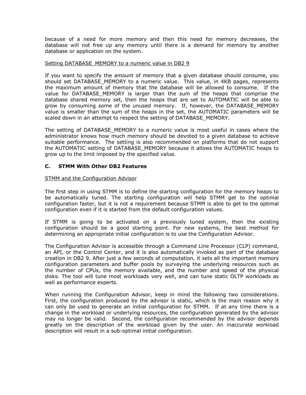because of a need for more memory and then this need for memory decreases, the database will not free up any memory until there is a demand for memory by another database or application on the system.

### Setting DATABASE\_MEMORY to a numeric value in DB2 9

If you want to specify the amount of memory that a given database should consume, you should set DATABASE\_MEMORY to a numeric value. This value, in 4KB pages, represents the maximum amount of memory that the database will be allowed to consume. If the value for DATABASE MEMORY is larger than the sum of the heaps that comprise the database shared memory set, then the heaps that are set to AUTOMATIC will be able to grow by consuming some of the unused memory. If, however, the DATABASE\_MEMORY value is smaller than the sum of the heaps in the set, the AUTOMATIC parameters will be scaled down in an attempt to respect the setting of DATABASE\_MEMORY.

The setting of DATABASE\_MEMORY to a numeric value is most useful in cases where the administrator knows how much memory should be devoted to a given database to achieve suitable performance. The setting is also recommended on platforms that do not support the AUTOMATIC setting of DATABASE\_MEMORY because it allows the AUTOMATIC heaps to grow up to the limit imposed by the specified value.

### C. STMM With Other DB2 Features

### STMM and the Configuration Advisor

The first step in using STMM is to define the starting configuration for the memory heaps to be automatically tuned. The starting configuration will help STMM get to the optimal configuration faster, but it is not a requirement because STMM is able to get to the optimal configuration even if it is started from the default configuration values.

If STMM is going to be activated on a previously tuned system, then the existing configuration should be a good starting point. For new systems, the best method for determining an appropriate initial configuration is to use the Configuration Advisor.

The Configuration Advisor is accessible through a Command Line Processor (CLP) command, an API, or the Control Center, and it is also automatically invoked as part of the database creation in DB2 9. After just a few seconds of computation, it sets all the important memory configuration parameters and buffer pools by surveying the underlying resources such as the number of CPUs, the memory available, and the number and speed of the physical disks. The tool will tune most workloads very well, and can tune static OLTP workloads as well as performance experts.

When running the Configuration Advisor, keep in mind the following two considerations. First, the configuration produced by the advisor is static, which is the main reason why it can only be used to generate an initial configuration for STMM. If at any time there is a change in the workload or underlying resources, the configuration generated by the advisor may no longer be valid. Second, the configuration recommended by the advisor depends greatly on the description of the workload given by the user. An inaccurate workload description will result in a sub-optimal initial configuration.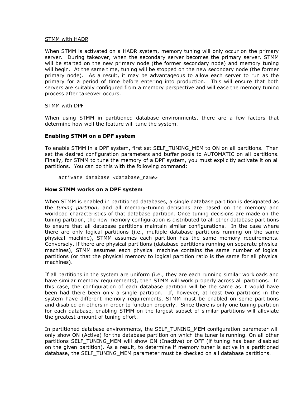### STMM with HADR

When STMM is activated on a HADR system, memory tuning will only occur on the primary server. During takeover, when the secondary server becomes the primary server, STMM will be started on the new primary node (the former secondary node) and memory tuning will begin. At the same time, tuning will be stopped on the new secondary node (the former primary node). As a result, it may be advantageous to allow each server to run as the primary for a period of time before entering into production. This will ensure that both servers are suitably configured from a memory perspective and will ease the memory tuning process after takeover occurs.

### STMM with DPF

When using STMM in partitioned database environments, there are a few factors that determine how well the feature will tune the system.

### Enabling STMM on a DPF system

To enable STMM in a DPF system, first set SELF\_TUNING\_MEM to ON on all partitions. Then set the desired configuration parameters and buffer pools to AUTOMATIC on all partitions. Finally, for STMM to tune the memory of a DPF system, you must explicitly activate it on all partitions. You can do this with the following command:

activate database <database\_name>

#### How STMM works on a DPF system

When STMM is enabled in partitioned databases, a single database partition is designated as the tuning partition, and all memory-tuning decisions are based on the memory and workload characteristics of that database partition. Once tuning decisions are made on the tuning partition, the new memory configuration is distributed to all other database partitions to ensure that all database partitions maintain similar configurations. In the case where there are only logical partitions (i.e., multiple database partitions running on the same physical machine), STMM assumes each partition has the same memory requirements. Conversely, if there are physical partitions (database partitions running on separate physical machines), STMM assumes each physical machine contains the same number of logical partitions (or that the physical memory to logical partition ratio is the same for all physical machines).

If all partitions in the system are uniform (i.e., they are each running similar workloads and have similar memory requirements), then STMM will work properly across all partitions. In this case, the configuration of each database partition will be the same as it would have been had there been only a single partition. If, however, at least two partitions in the system have different memory requirements, STMM must be enabled on some partitions and disabled on others in order to function properly. Since there is only one tuning partition for each database, enabling STMM on the largest subset of similar partitions will alleviate the greatest amount of tuning effort.

In partitioned database environments, the SELF\_TUNING\_MEM configuration parameter will only show ON (Active) for the database partition on which the tuner is running. On all other partitions SELF TUNING MEM will show ON (Inactive) or OFF (if tuning has been disabled on the given partition). As a result, to determine if memory tuner is active in a partitioned database, the SELF TUNING MEM parameter must be checked on all database partitions.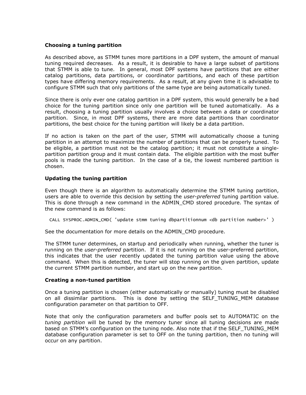### Choosing a tuning partition

As described above, as STMM tunes more partitions in a DPF system, the amount of manual tuning required decreases. As a result, it is desirable to have a large subset of partitions that STMM is able to tune. In general, most DPF systems have partitions that are either catalog partitions, data partitions, or coordinator partitions, and each of these partition types have differing memory requirements. As a result, at any given time it is advisable to configure STMM such that only partitions of the same type are being automatically tuned.

Since there is only ever one catalog partition in a DPF system, this would generally be a bad choice for the tuning partition since only one partition will be tuned automatically. As a result, choosing a tuning partition usually involves a choice between a data or coordinator partition. Since, in most DPF systems, there are more data partitions than coordinator partitions, the best choice for the tuning partition will likely be a data partition.

If no action is taken on the part of the user, STMM will automatically choose a tuning partition in an attempt to maximize the number of partitions that can be properly tuned. To be eligible, a partition must not be the catalog partition; it must not constitute a singlepartition partition group and it must contain data. The eligible partition with the most buffer pools is made the tuning partition. In the case of a tie, the lowest numbered partition is chosen.

### Updating the tuning partition

Even though there is an algorithm to automatically determine the STMM tuning partition, users are able to override this decision by setting the user-preferred tuning partition value. This is done through a new command in the ADMIN CMD stored procedure. The syntax of the new command is as follows:

CALL SYSPROC.ADMIN\_CMD( 'update stmm tuning dbpartitionnum <db partition number>' )

See the documentation for more details on the ADMIN\_CMD procedure.

The STMM tuner determines, on startup and periodically when running, whether the tuner is running on the *user-preferred* partition. If it is not running on the user-preferred partition, this indicates that the user recently updated the tuning partition value using the above command. When this is detected, the tuner will stop running on the given partition, update the current STMM partition number, and start up on the new partition.

### Creating a non-tuned partition

Once a tuning partition is chosen (either automatically or manually) tuning must be disabled on all dissimilar partitions. This is done by setting the SELF\_TUNING\_MEM database configuration parameter on that partition to OFF.

Note that only the configuration parameters and buffer pools set to AUTOMATIC on the tuning partition will be tuned by the memory tuner since all tuning decisions are made based on STMM's configuration on the tuning node. Also note that if the SELF TUNING MEM database configuration parameter is set to OFF on the tuning partition, then no tuning will occur on any partition.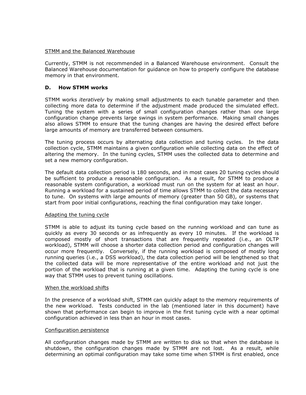### STMM and the Balanced Warehouse

Currently, STMM is not recommended in a Balanced Warehouse environment. Consult the Balanced Warehouse documentation for guidance on how to properly configure the database memory in that environment.

### D. How STMM works

STMM works iteratively by making small adjustments to each tunable parameter and then collecting more data to determine if the adjustment made produced the simulated effect. Tuning the system with a series of small configuration changes rather than one large configuration change prevents large swings in system performance. Making small changes also allows STMM to ensure that the tuning changes are having the desired effect before large amounts of memory are transferred between consumers.

The tuning process occurs by alternating data collection and tuning cycles. In the data collection cycle, STMM maintains a given configuration while collecting data on the effect of altering the memory. In the tuning cycles, STMM uses the collected data to determine and set a new memory configuration.

The default data collection period is 180 seconds, and in most cases 20 tuning cycles should be sufficient to produce a reasonable configuration. As a result, for STMM to produce a reasonable system configuration, a workload must run on the system for at least an hour. Running a workload for a sustained period of time allows STMM to collect the data necessary to tune. On systems with large amounts of memory (greater than 50 GB), or systems that start from poor initial configurations, reaching the final configuration may take longer.

### Adapting the tuning cycle

STMM is able to adjust its tuning cycle based on the running workload and can tune as quickly as every 30 seconds or as infrequently as every 10 minutes. If the workload is composed mostly of short transactions that are frequently repeated (i.e., an OLTP workload), STMM will choose a shorter data collection period and configuration changes will occur more frequently. Conversely, if the running workload is composed of mostly long running queries (i.e., a DSS workload), the data collection period will be lengthened so that the collected data will be more representative of the entire workload and not just the portion of the workload that is running at a given time. Adapting the tuning cycle is one way that STMM uses to prevent tuning oscillations.

### When the workload shifts

In the presence of a workload shift, STMM can quickly adapt to the memory requirements of the new workload. Tests conducted in the lab (mentioned later in this document) have shown that performance can begin to improve in the first tuning cycle with a near optimal configuration achieved in less than an hour in most cases.

### Configuration persistence

All configuration changes made by STMM are written to disk so that when the database is shutdown, the configuration changes made by STMM are not lost. As a result, while determining an optimal configuration may take some time when STMM is first enabled, once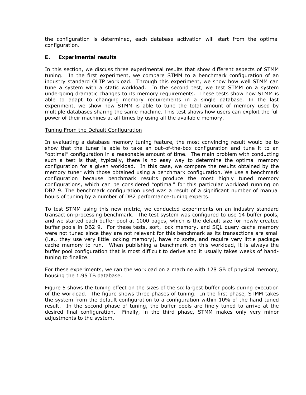the configuration is determined, each database activation will start from the optimal configuration.

## E. Experimental results

In this section, we discuss three experimental results that show different aspects of STMM tuning. In the first experiment, we compare STMM to a benchmark configuration of an industry standard OLTP workload. Through this experiment, we show how well STMM can tune a system with a static workload. In the second test, we test STMM on a system undergoing dramatic changes to its memory requirements. These tests show how STMM is able to adapt to changing memory requirements in a single database. In the last experiment, we show how STMM is able to tune the total amount of memory used by multiple databases sharing the same machine. This test shows how users can exploit the full power of their machines at all times by using all the available memory.

### Tuning From the Default Configuration

In evaluating a database memory tuning feature, the most convincing result would be to show that the tuner is able to take an out-of-the-box configuration and tune it to an "optimal" configuration in a reasonable amount of time. The main problem with conducting such a test is that, typically, there is no easy way to determine the optimal memory configuration for a given workload. In this case, we compare the results obtained by the memory tuner with those obtained using a benchmark configuration. We use a benchmark configuration because benchmark results produce the most highly tuned memory configurations, which can be considered "optimal" for this particular workload running on DB2 9. The benchmark configuration used was a result of a significant number of manual hours of tuning by a number of DB2 performance-tuning experts.

To test STMM using this new metric, we conducted experiments on an industry standard transaction-processing benchmark. The test system was configured to use 14 buffer pools, and we started each buffer pool at 1000 pages, which is the default size for newly created buffer pools in DB2 9. For these tests, sort, lock memory, and SQL query cache memory were not tuned since they are not relevant for this benchmark as its transactions are small (i.e., they use very little locking memory), have no sorts, and require very little package cache memory to run. When publishing a benchmark on this workload, it is always the buffer pool configuration that is most difficult to derive and it usually takes weeks of handtuning to finalize.

For these experiments, we ran the workload on a machine with 128 GB of physical memory, housing the 1.95 TB database.

Figure 5 shows the tuning effect on the sizes of the six largest buffer pools during execution of the workload. The figure shows three phases of tuning. In the first phase, STMM takes the system from the default configuration to a configuration within 10% of the hand-tuned result. In the second phase of tuning, the buffer pools are finely tuned to arrive at the desired final configuration. Finally, in the third phase, STMM makes only very minor adjustments to the system.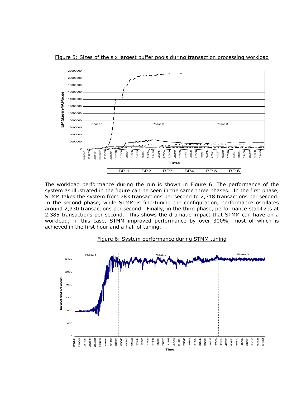

Figure 5: Sizes of the six largest buffer pools during transaction processing workload

The workload performance during the run is shown in Figure 6. The performance of the system as illustrated in the figure can be seen in the same three phases. In the first phase, STMM takes the system from 783 transactions per second to 2,318 transactions per second. In the second phase, while STMM is fine-tuning the configuration, performance oscillates around 2,330 transactions per second. Finally, in the third phase, performance stabilizes at 2,385 transactions per second. This shows the dramatic impact that STMM can have on a workload; in this case, STMM improved performance by over 300%, most of which is achieved in the first hour and a half of tuning.

#### Phase 1 **Phase 2** Phase 2 Phase 3 **Phase 3** Phase 3 2400 2000 iransadions Per Second Transactions Per Second 1600 1200 800 400  $\mathbf{o}$ 23:06:04 23:51:24 0:14:04 0:25:25 1:44:46 1:56:06 2:18:48 2:30:08 3:38:09 3:49:29 4:00:50 4:12:10 4:23:30 4:34:50 4:57:30 5:08:50 5:20:10 **234004** 0:02:44  $0.3645$  $0.48C$  $1:33.26$  $207.26$ 241:29 3:04:09 3:15:29 5:31:31 22:54:42 23:17:24 0:59:25 1:10:45 1:22:05 2:52:49 3:26:49 5:42:51 23:28:44 4:46:10 Time

### Figure 6: System performance during STMM tuning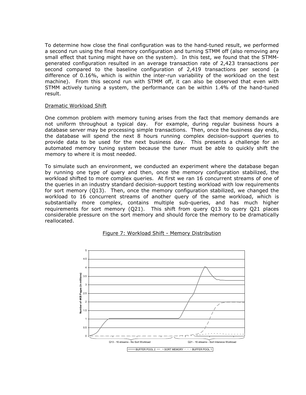To determine how close the final configuration was to the hand-tuned result, we performed a second run using the final memory configuration and turning STMM off (also removing any small effect that tuning might have on the system). In this test, we found that the STMMgenerated configuration resulted in an average transaction rate of 2,423 transactions per second compared to the baseline configuration of 2,419 transactions per second (a difference of 0.16%, which is within the inter-run variability of the workload on the test machine). From this second run with STMM off, it can also be observed that even with STMM actively tuning a system, the performance can be within 1.4% of the hand-tuned result.

### Dramatic Workload Shift

One common problem with memory tuning arises from the fact that memory demands are not uniform throughout a typical day. For example, during regular business hours a database server may be processing simple transactions. Then, once the business day ends, the database will spend the next 8 hours running complex decision-support queries to provide data to be used for the next business day. This presents a challenge for an automated memory tuning system because the tuner must be able to quickly shift the memory to where it is most needed.

To simulate such an environment, we conducted an experiment where the database began by running one type of query and then, once the memory configuration stabilized, the workload shifted to more complex queries. At first we ran 16 concurrent streams of one of the queries in an industry standard decision-support testing workload with low requirements for sort memory (Q13). Then, once the memory configuration stabilized, we changed the workload to 16 concurrent streams of another query of the same workload, which is substantially more complex, contains multiple sub-queries, and has much higher requirements for sort memory (Q21). This shift from query Q13 to query Q21 places considerable pressure on the sort memory and should force the memory to be dramatically reallocated.



### Figure 7: Workload Shift - Memory Distribution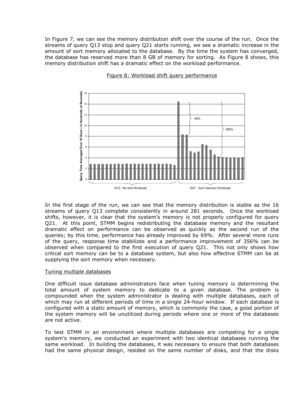In Figure 7, we can see the memory distribution shift over the course of the run. Once the streams of query Q13 stop and query Q21 starts running, we see a dramatic increase in the amount of sort memory allocated to the database. By the time the system has converged, the database has reserved more than 8 GB of memory for sorting. As Figure 8 shows, this memory distribution shift has a dramatic effect on the workload performance.



### Figure 8: Workload shift query performance

In the first stage of the run, we can see that the memory distribution is stable as the 16 streams of query Q13 complete consistently in around 281 seconds. Once the workload shifts, however, it is clear that the system's memory is not properly configured for query Q21. At this point, STMM begins redistributing the database memory and the resultant dramatic effect on performance can be observed as quickly as the second run of the queries; by this time, performance has already improved by 69%. After several more runs of the query, response time stabilizes and a performance improvement of 356% can be observed when compared to the first execution of query Q21. This not only shows how critical sort memory can be to a database system, but also how effective STMM can be at supplying the sort memory when necessary.

### Tuning multiple databases

One difficult issue database administrators face when tuning memory is determining the total amount of system memory to dedicate to a given database. The problem is compounded when the system administrator is dealing with multiple databases, each of which may run at different periods of time in a single 24-hour window. If each database is configured with a static amount of memory, which is commonly the case, a good portion of the system memory will be unutilized during periods where one or more of the databases are not active.

To test STMM in an environment where multiple databases are competing for a single system's memory, we conducted an experiment with two identical databases running the same workload. In building the databases, it was necessary to ensure that both databases had the same physical design, resided on the same number of disks, and that the disks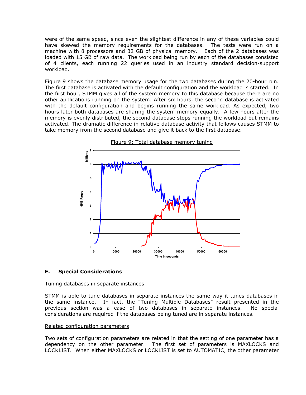were of the same speed, since even the slightest difference in any of these variables could have skewed the memory requirements for the databases. The tests were run on a machine with 8 processors and 32 GB of physical memory. Each of the 2 databases was loaded with 15 GB of raw data. The workload being run by each of the databases consisted of 4 clients, each running 22 queries used in an industry standard decision-support workload.

Figure 9 shows the database memory usage for the two databases during the 20-hour run. The first database is activated with the default configuration and the workload is started. In the first hour, STMM gives all of the system memory to this database because there are no other applications running on the system. After six hours, the second database is activated with the default configuration and begins running the same workload. As expected, two hours later both databases are sharing the system memory equally. A few hours after the memory is evenly distributed, the second database stops running the workload but remains activated. The dramatic difference in relative database activity that follows causes STMM to take memory from the second database and give it back to the first database.





### F. Special Considerations

### Tuning databases in separate instances

STMM is able to tune databases in separate instances the same way it tunes databases in the same instance. In fact, the "Tuning Multiple Databases" result presented in the previous section was a case of two databases in separate instances. No special considerations are required if the databases being tuned are in separate instances.

### Related configuration parameters

Two sets of configuration parameters are related in that the setting of one parameter has a dependency on the other parameter. The first set of parameters is MAXLOCKS and LOCKLIST. When either MAXLOCKS or LOCKLIST is set to AUTOMATIC, the other parameter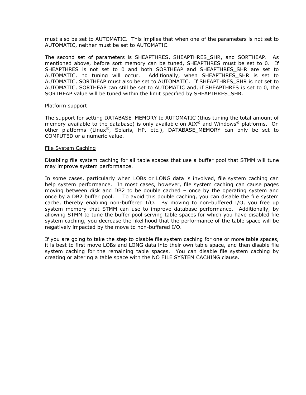must also be set to AUTOMATIC. This implies that when one of the parameters is not set to AUTOMATIC, neither must be set to AUTOMATIC.

The second set of parameters is SHEAPTHRES, SHEAPTHRES\_SHR, and SORTHEAP. As mentioned above, before sort memory can be tuned, SHEAPTHRES must be set to 0. If SHEAPTHRES is not set to 0 and both SORTHEAP and SHEAPTHRES SHR are set to AUTOMATIC, no tuning will occur. Additionally, when SHEAPTHRES\_SHR is set to AUTOMATIC, SORTHEAP must also be set to AUTOMATIC. If SHEAPTHRES\_SHR is not set to AUTOMATIC, SORTHEAP can still be set to AUTOMATIC and, if SHEAPTHRES is set to 0, the SORTHEAP value will be tuned within the limit specified by SHEAPTHRES\_SHR.

#### Platform support

The support for setting DATABASE\_MEMORY to AUTOMATIC (thus tuning the total amount of memory available to the database) is only available on  $\text{AIX}^{\textcircled{\text{R}}}$  and Windows<sup>®</sup> platforms. On other platforms (Linux<sup>®</sup>, Solaris, HP, etc.), DATABASE MEMORY can only be set to COMPUTED or a numeric value.

#### File System Caching

Disabling file system caching for all table spaces that use a buffer pool that STMM will tune may improve system performance.

In some cases, particularly when LOBs or LONG data is involved, file system caching can help system performance. In most cases, however, file system caching can cause pages moving between disk and DB2 to be double cached – once by the operating system and once by a DB2 buffer pool. To avoid this double caching, you can disable the file system cache, thereby enabling non-buffered I/O. By moving to non-buffered I/O, you free up system memory that STMM can use to improve database performance. Additionally, by allowing STMM to tune the buffer pool serving table spaces for which you have disabled file system caching, you decrease the likelihood that the performance of the table space will be negatively impacted by the move to non-buffered I/O.

If you are going to take the step to disable file system caching for one or more table spaces, it is best to first move LOBs and LONG data into their own table space, and then disable file system caching for the remaining table spaces. You can disable file system caching by creating or altering a table space with the NO FILE SYSTEM CACHING clause.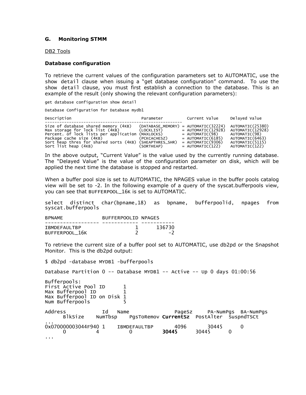### G. Monitoring STMM

DB2 Tools

### Database configuration

To retrieve the current values of the configuration parameters set to AUTOMATIC, use the show detail clause when issuing a "get database configuration" command. To use the show detail clause, you must first establish a connection to the database. This is an example of the result (only showing the relevant configuration parameters):

get database configuration show detail

Database Configuration for Database mydb1

| Description                                                                                                                                                                                                                      | Parameter                                              | Current Value                                                                                                                                           | Delayed Value                                                                                                 |
|----------------------------------------------------------------------------------------------------------------------------------------------------------------------------------------------------------------------------------|--------------------------------------------------------|---------------------------------------------------------------------------------------------------------------------------------------------------------|---------------------------------------------------------------------------------------------------------------|
| Size of database shared memory (4KB)<br>Max storage for lock list (4KB)<br>Percent. of lock lists per application<br>Package cache size (4KB)<br>Sort heap thres for shared sorts (4KB) (SHEAPTHRES_SHR)<br>Sort list heap (4KB) | (LOCKLIST)<br>(MAXLOCKS)<br>(PCKCACHESZ)<br>(SORTHEAP) | $(DATABASE_MEMORY) = AUTOMATIC(32224)$<br>$=$ AUTOMATIC(12928)<br>$=$ AUTOMATIC(98)<br>$=$ AUTOMATIC(6185)<br>$=$ AUTOMATIC(9306)<br>$=$ AUTOMATIC(122) | AUTOMATIC(25380)<br>AUTOMATIC(12928)<br>AUTOMATIC(98)<br>AUTOMATIC(6463)<br>AUTOMATIC(5115)<br>AUTOMATIC(122) |

In the above output, "Current Value" is the value used by the currently running database. The "Delayed Value" is the value of the configuration parameter on disk, which will be applied the next time the database is stopped and restarted.

When a buffer pool size is set to AUTOMATIC, the NPAGES value in the buffer pools catalog view will be set to -2. In the following example of a query of the syscat.bufferpools view, you can see that BUFFERPOOL\_16K is set to AUTOMATIC.

select distinct char(bpname,18) as bpname, bufferpoolid, npages from syscat.bufferpools

| <b>BPNAME</b>                         | BUFFERPOOLID NPAGES |        |
|---------------------------------------|---------------------|--------|
| <b>IBMDEFAULTBP</b><br>BUFFERPOOL 16K |                     | 136730 |

To retrieve the current size of a buffer pool set to AUTOMATIC, use db2pd or the Snapshot Monitor. This is the db2pd output:

\$ db2pd -database MYDB1 -bufferpools

Database Partition 0 -- Database MYDB1 -- Active -- Up 0 days 01:00:56

Bufferpools: First Active Pool ID 1<br>Max Bufferpool ID 1 Max Bufferpool ID 1 Max Bufferpool ID on Disk 1<br>Num Bufferpools 5 Num Bufferpools

...

| Address              | Id | Name                                              |       |       | PageSz PA-NumPgs BA-NumPgs |
|----------------------|----|---------------------------------------------------|-------|-------|----------------------------|
| BlkSize              |    | NumTbsp PgsToRemov CurrentSz PostAlter SuspndTSCt |       |       |                            |
| .                    |    |                                                   |       |       |                            |
| 0x070000003044F940 1 |    | IBMDEFAULTBP                                      | 4096  | 30445 |                            |
|                      |    |                                                   | 30445 | 30445 |                            |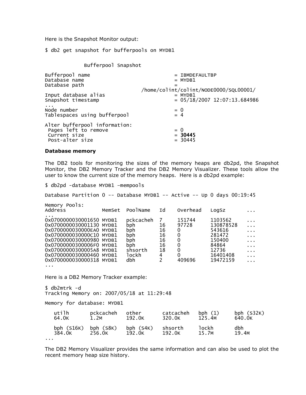Here is the Snapshot Monitor output:

\$ db2 get snapshot for bufferpools on MYDB1

Bufferpool Snapshot

| Bufferpool name<br>Database name<br>Database path                                        | $=$ IBMDEFAULTBP<br>$=$ MYDB1<br>=<br>/home/colint/colint/NODE0000/SQL00001/ |
|------------------------------------------------------------------------------------------|------------------------------------------------------------------------------|
| Input database alias                                                                     | $=$ MYDB1                                                                    |
| Snapshot timestamp                                                                       | $= 05/18/2007 \ 12:07:13.684986$                                             |
| Node number                                                                              | $= 0$                                                                        |
| Tablespaces using bufferpool                                                             | $= 4$                                                                        |
| Alter bufferpool information:<br>Pages left to remove<br>Current size<br>Post-alter size | $= 0$<br>$= 30445$<br>$= 30445$                                              |

### Database memory

The DB2 tools for monitoring the sizes of the memory heaps are db2pd, the Snapshot Monitor, the DB2 Memory Tracker and the DB2 Memory Visualizer. These tools allow the user to know the current size of the memory heaps. Here is a db2pd example:

\$ db2pd -database MYDB1 –mempools

Database Partition 0 -- Database MYDB1 -- Active -- Up 0 days 00:19:45

| Memory Pools:<br>Address                                                                                                                                                                                                                                 | MemSet | PoolName                                                                   | Id                                         | Overhead                                                                         | LogSz                                                                                        |                                                                                         |
|----------------------------------------------------------------------------------------------------------------------------------------------------------------------------------------------------------------------------------------------------------|--------|----------------------------------------------------------------------------|--------------------------------------------|----------------------------------------------------------------------------------|----------------------------------------------------------------------------------------------|-----------------------------------------------------------------------------------------|
| 0x0700000030001650 MYDB1<br>0x0700000030001130 MYDB1<br>0x0700000030000EA0 MYDB1<br>0x0700000030000C10 MYDB1<br>0x0700000030000980 MYDB1<br>0x07000000300006F0 MYDB1<br>0x07000000300005A8 MYDB1<br>0x0700000030000460 MYDB1<br>0x0700000030000318 MYDB1 |        | pckcacheh<br>bph<br>bph.<br>bph<br>bph.<br>bph.<br>shsorth<br>lockh<br>dbh | 16<br>16<br>16<br>16<br>16<br>18<br>4<br>2 | 151744<br>97728<br>0<br>0<br>$\Omega$<br>0<br>$\mathbf{0}$<br>$\Omega$<br>409696 | 1103562<br>130878528<br>543616<br>281472<br>150400<br>84864<br>12736<br>16401408<br>19472159 | $\cdots$<br>$\cdots$<br>$\cdots$<br>$\sim$ $\sim$ $\sim$<br>$\sim 100$<br>$\cdots$<br>. |
| .                                                                                                                                                                                                                                                        |        |                                                                            |                                            |                                                                                  |                                                                                              |                                                                                         |

Here is a DB2 Memory Tracker example:

\$ db2mtrk -d Tracking Memory on: 2007/05/18 at 11:29:48

Memory for database: MYDB1

| utilh        | pckcacheh   | other       | catcacheh | bph $(1)$ | bph $(S32K)$ |
|--------------|-------------|-------------|-----------|-----------|--------------|
| 64.0K        | 1.2M        | 192.0K      | 320.0K    | 125.4M    | 640.0K       |
| bph $(S16K)$ | bph $(S8K)$ | bph $(S4K)$ | shsorth   | lockh     | dbh          |
| 384.0K       | 256.0K      | 192.0K      | 192.0K    | 15.7M     | 19.4M        |
|              |             |             |           |           |              |

The DB2 Memory Visualizer provides the same information and can also be used to plot the recent memory heap size history.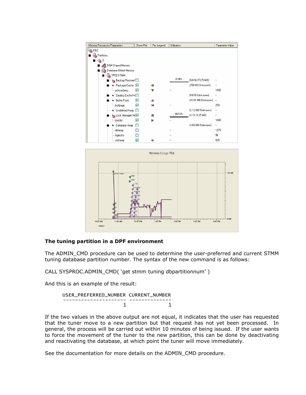



### The tuning partition in a DPF environment

The ADMIN\_CMD procedure can be used to determine the user-preferred and current STMM tuning database partition number. The syntax of the new command is as follows:

CALL SYSPROC.ADMIN\_CMD( 'get stmm tuning dbpartitionnum' )

And this is an example of the result:

```
 USER_PREFERRED_NUMBER CURRENT_NUMBER 
     --------------------- -------------- 
1 1
```
If the two values in the above output are not equal, it indicates that the user has requested that the tuner move to a new partition but that request has not yet been processed. In general, the process will be carried out within 10 minutes of being issued. If the user wants to force the movement of the tuner to the new partition, this can be done by deactivating and reactivating the database, at which point the tuner will move immediately.

See the documentation for more details on the ADMIN\_CMD procedure.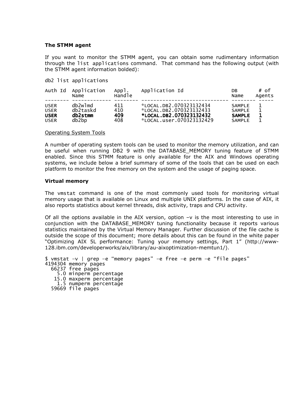#### The STMM agent

If you want to monitor the STMM agent, you can obtain some rudimentary information through the list applications command. That command has the following output (with the STMM agent information bolded):

db2 list applications

| Auth Id     | Application<br>Name | App <sub>1</sub> .<br>Handle | Application Id           | DB<br>Name    | # of<br>Agents |
|-------------|---------------------|------------------------------|--------------------------|---------------|----------------|
| <b>USER</b> | db2w1md             | 411                          | *LOCAL.DB2.070323132434  | <b>SAMPLE</b> | 1              |
| <b>USER</b> | db2taskd            | 410                          | *LOCAL.DB2.070323132433  | <b>SAMPLE</b> |                |
| <b>USER</b> | db2stmm             | 409                          | *LOCAL.DB2.070323132432  | <b>SAMPLE</b> |                |
| <b>USER</b> | db2bp               | 408                          | LOCAL.user.070323132429* | <b>SAMPLE</b> |                |

#### Operating System Tools

A number of operating system tools can be used to monitor the memory utilization, and can be useful when running DB2 9 with the DATABASE\_MEMORY tuning feature of STMM enabled. Since this STMM feature is only available for the AIX and Windows operating systems, we include below a brief summary of some of the tools that can be used on each platform to monitor the free memory on the system and the usage of paging space.

#### Virtual memory

The vmstat command is one of the most commonly used tools for monitoring virtual memory usage that is available on Linux and multiple UNIX platforms. In the case of AIX, it also reports statistics about kernel threads, disk activity, traps and CPU activity.

Of all the options available in the AIX version, option  $-v$  is the most interesting to use in conjunction with the DATABASE\_MEMORY tuning functionality because it reports various statistics maintained by the Virtual Memory Manager. Further discussion of the file cache is outside the scope of this document; more details about this can be found in the white paper "Optimizing AIX 5L performance: Tuning your memory settings, Part 1" (http://www-128.ibm.com/developerworks/aix/library/au-aixoptimization-memtun1/).

\$ vmstat –v | grep –e "memory pages" –e free –e perm –e "file pages" 4194304 memory pages 66237 free pages 5.0 minperm percentage 15.0 maxperm percentage 1.5 numperm percentage 59669 file pages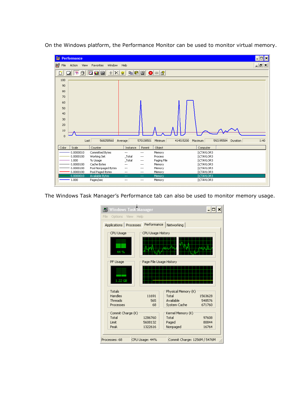On the Windows platform, the Performance Monitor can be used to monitor virtual memory.



The Windows Task Manager's Performance tab can also be used to monitor memory usage.

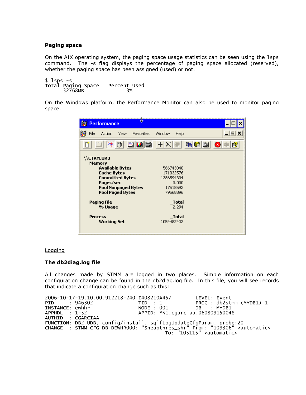### Paging space

On the AIX operating system, the paging space usage statistics can be seen using the lsps command. The -s flag displays the percentage of paging space allocated (reserved), whether the paging space has been assigned (used) or not.

 $$$  lsps  $-$ s Total Paging Space Percent Used 32768MB 3%

On the Windows platform, the Performance Monitor can also be used to monitor paging space.

| 35<br><b>Performance</b>                                                                                                                                                    |                                                                       |
|-----------------------------------------------------------------------------------------------------------------------------------------------------------------------------|-----------------------------------------------------------------------|
| <b>Favorites</b><br>File<br>Action<br>View                                                                                                                                  | - 8 ×<br>Window<br>Help                                               |
| dde<br>冰<br>A                                                                                                                                                               | ac 6<br>$+ $<br>$\times$<br>ø                                         |
| \\CTAYLOR3<br><b>Memory</b><br><b>Available Bytes</b><br><b>Cache Bytes</b><br><b>Committed Bytes</b><br>Pages/sec<br><b>Pool Nonpaged Bytes</b><br><b>Pool Paged Bytes</b> | 566743040<br>171032576<br>1386594304<br>0.000<br>17518592<br>79568896 |
| <b>Paging File</b><br>% Usage                                                                                                                                               | <b>Total</b><br>2.294                                                 |
| <b>Process</b><br>Working Set                                                                                                                                               | Total<br>1054482432                                                   |

### Logging

### The db2diag.log file

All changes made by STMM are logged in two places. Simple information on each configuration change can be found in the db2diag.log file. In this file, you will see records that indicate a configuration change such as this:

2006-10-17-19.10.00.912218-240 I408210A457 LEVEL: Event PROC : db2stmm (MYDB1) 1<br>DB : MYDB1 PID : 946302 TID : 1<br>
INSTANCE: ewhhr NODE : 001 DB<br>
APPHDL : 1-52 APPID: \*N1.cgarciaa.060 APPID: \*N1.cgarciaa.060809150048 AUTHID : CGARCIAA FUNCTION: DB2 UDB, config/install, sqlfLogUpdateCfgParam, probe:20 CHANGE : STMM CFG DB DEWHR000: "Sheapthres\_shr" From: "109306" <automatic> To: "105115" <automatic>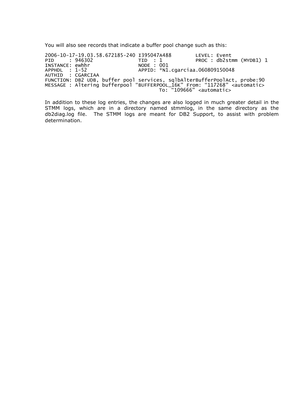You will also see records that indicate a buffer pool change such as this:

2006-10-17-19.03.58.672185-240 I395047A488<br>PID : 946302 TID : 1<br>INSTANCE: ewhhr NODE : 001 LEVEL: Event<br>PROC : db2stmm (MYDB1) 1 INSTANCE: ewhhr<br>APPHDL : 1-52 APPID: \*N1.cgarciaa.060809150048 AUTHID : CGARCIAA FUNCTION: DB2 UDB, buffer pool services, sqlbAlterBufferPoolAct, probe:90 MESSAGE : Altering bufferpool "BUFFERPOOL\_16K" From: "117268" <automatic> To: "109666" <automatic>

In addition to these log entries, the changes are also logged in much greater detail in the STMM logs, which are in a directory named stmmlog, in the same directory as the db2diag.log file. The STMM logs are meant for DB2 Support, to assist with problem determination.